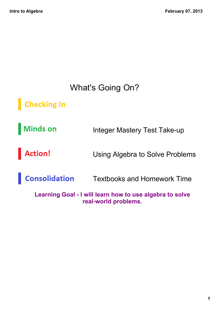#### What's Going On?

Checking In

**Minds on** Integer Mastery Test Take-up

Action! Using Algebra to Solve Problems

**Consolidation** Textbooks and Homework Time

**Learning Goal - I will learn how to use algebra to solve realworld problems.**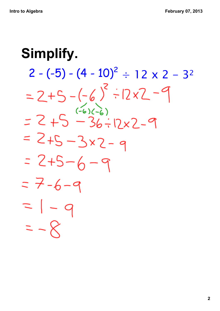## **Simplify.** $2 - (-5) - (4 - 10)^2$ ÷ 12 x 2 - 3<sup>2</sup>  $=2+5-(-6)^{2}\div12x^{2}-9$  $= 2 + 5 - 36 - 12x2 - 9$  $= 2+5-3x2-9$  $= 2+5-6-9$  $=7-6-9$  $= 1 - q$  $=-8$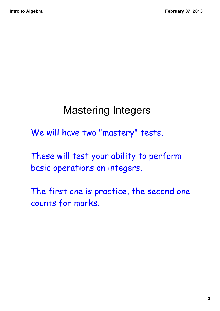### Mastering Integers

We will have two "mastery" tests.

These will test your ability to perform basic operations on integers.

The first one is practice, the second one counts for marks.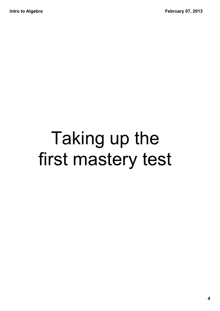## Taking up the first mastery test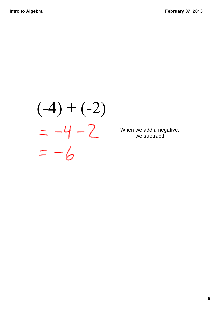# $(-4) + (-2)$  $=-6$

When we add a negative, we subtract!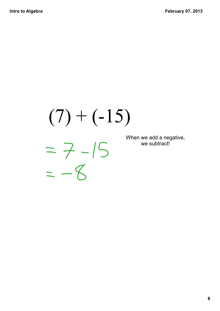## $(7) + (-15)$  $=7 - 15$  $=-8$

When we add a negative, we subtract!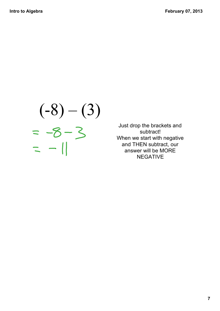# $(-8) - (3)$ <br>= -8 - 3<br>= -1

Just drop the brackets and subtract! When we start with negative and THEN subtract, our answer will be MORE NEGATIVE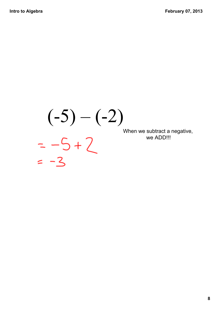## $(-5) - (-2)$ <br>=  $-5 + 2$ <br>=  $-3$ When we subtract a negative, we ADD!!!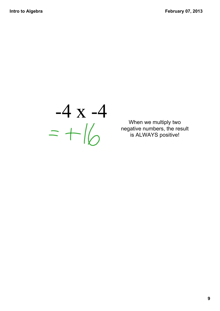$-4 x - 4$ <br>=  $+16$ 

When we multiply two negative numbers, the result is ALWAYS positive!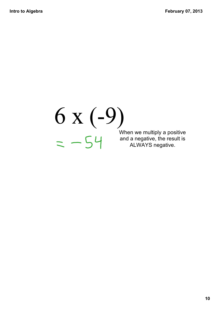#### 6 x (9) When we multiply a positive and a negative, the result is ALWAYS negative.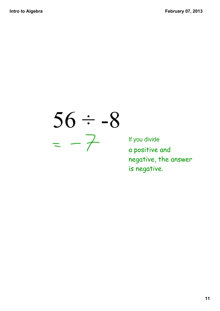$56 ÷ -8$ <br>=  $-7$ 

If you divide a positive and negative, the answer is negative.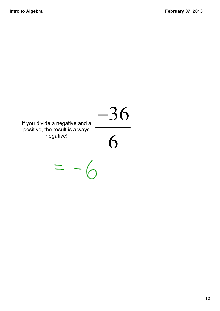#### $\frac{-36}{6}$ If you divide a negative and a positive, the result is always negative!

 $=$   $-$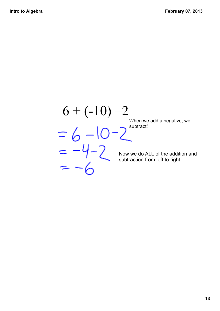## $6 + (-10)$  –2

When we add a negative, we subtract!

Now we do ALL of the addition and subtraction from left to right.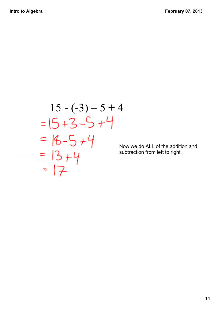$$
15 - (-3) - 5 + 4
$$
  
=  $15 + 3 - 5 + 4$   
=  $18 - 5 + 4$   
=  $13 + 4$   
=  $17$ 

Now we do ALL of the addition and subtraction from left to right.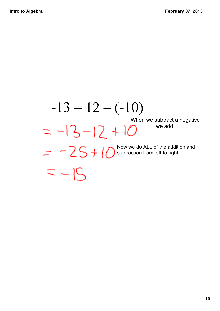#### $-13 - 12 - (-10)$ When we subtract a negative

 $=-15$ 

 $= -13 - 12 + 10$ we add. Now we do ALL of the addition and subtraction from left to right.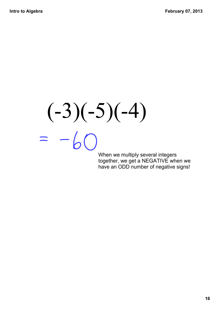## $(-3)(-5)(-4)$  $= -60$

When we multiply several integers together, we get a NEGATIVE when we have an ODD number of negative signs!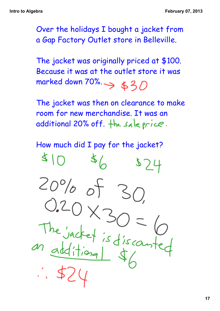Over the holidays I bought a jacket from a Gap Factory Outlet store in Belleville.

The jacket was originally priced at \$100. Because it was at the outlet store it was marked down  $70\%$ .  $\Rightarrow$  \$30

The jacket was then on clearance to make room for new merchandise. It was an additional 20% off. the sale price.

How much did I pay for the jacket?

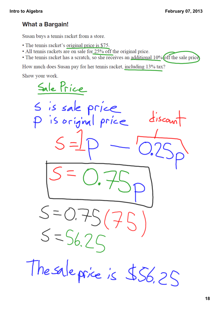#### **What a Bargain!**

Susan buys a tennis racket from a store.

- The tennis racket's original price is \$75.
- All tennis rackets are on sale for 25% off the original price.
- The tennis racket has a scratch, so she receives an additional 10% off the sale price

How much does Susan pay for her tennis racket, including 13% tax?

Show your work.

Sale Price S is sale price  $disco<sub>u</sub>$ I is original price  $5 = 56.25$ The sale price is \$56.25

**18**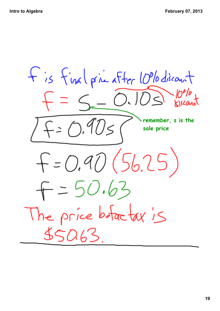+ is final prime after 1006 discount  $= 5 - 0.103$  $F = 0.90s$ **remember, s is the sale price** $F = 0.90(56.25)$  $F = 50.63$ The price before tax is  $55063$